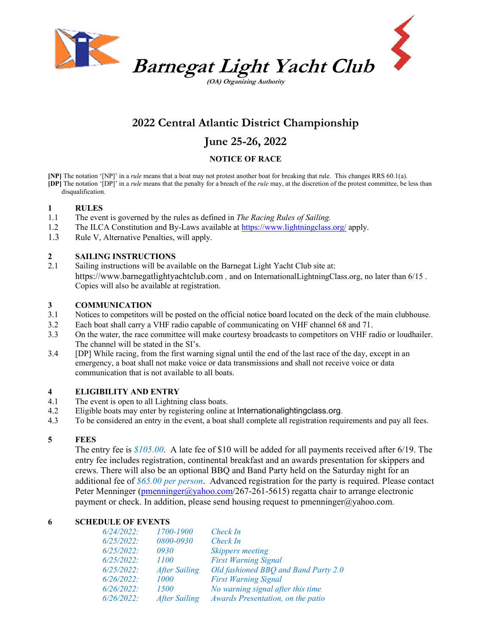

(OA) Organizing Authority

## 2022 Central Atlantic District Championship

### June 25-26, 2022

#### NOTICE OF RACE

[NP] The notation '[NP]' in a rule means that a boat may not protest another boat for breaking that rule. This changes RRS 60.1(a). [DP] The notation '[DP]' in a rule means that the penalty for a breach of the rule may, at the discretion of the protest committee, be less than disqualification.

#### 1 RULES

- 1.1 The event is governed by the rules as defined in The Racing Rules of Sailing.
- 1.2 The ILCA Constitution and By-Laws available at https://www.lightningclass.org/ apply.
- 1.3 Rule V, Alternative Penalties, will apply.

# 2 **SAILING INSTRUCTIONS**<br>2.1 Sailing instructions will be ava

Sailing instructions will be available on the Barnegat Light Yacht Club site at: https://www.barnegatlightyachtclub.com , and on InternationalLightningClass.org, no later than 6/15 . Copies will also be available at registration.

#### 3 COMMUNICATION

- 3.1 Notices to competitors will be posted on the official notice board located on the deck of the main clubhouse.
- 3.2 Each boat shall carry a VHF radio capable of communicating on VHF channel 68 and 71.
- 3.3 On the water, the race committee will make courtesy broadcasts to competitors on VHF radio or loudhailer. The channel will be stated in the SI's.
- 3.4 [DP] While racing, from the first warning signal until the end of the last race of the day, except in an emergency, a boat shall not make voice or data transmissions and shall not receive voice or data communication that is not available to all boats.

#### 4 ELIGIBILITY AND ENTRY

- 4.1 The event is open to all Lightning class boats.
- 4.2 Eligible boats may enter by registering online at Internationalightingclass.org.
- 4.3 To be considered an entry in the event, a boat shall complete all registration requirements and pay all fees.

#### 5 FEES

The entry fee is \$105.00. A late fee of \$10 will be added for all payments received after 6/19. The entry fee includes registration, continental breakfast and an awards presentation for skippers and crews. There will also be an optional BBQ and Band Party held on the Saturday night for an additional fee of  $$65.00$  per person. Advanced registration for the party is required. Please contact Peter Menninger (pmenninger@yahoo.com/267-261-5615) regatta chair to arrange electronic payment or check. In addition, please send housing request to pmenninger@yahoo.com.

#### 6 SCHEDULE OF EVENTS

| $6/24/2022$ : | 1700-1900            | Check In                             |
|---------------|----------------------|--------------------------------------|
| $6/25/2022$ : | 0800-0930            | Check In                             |
| $6/25/2022$ : | 0930                 | <i>Skippers meeting</i>              |
| $6/25/2022$ : | 1100                 | <b>First Warning Signal</b>          |
| $6/25/2022$ : | <b>After Sailing</b> | Old fashioned BBO and Band Party 2.0 |
| $6/26/2022$ : | 1000                 | <b>First Warning Signal</b>          |
| $6/26/2022$ : | <i>1500</i>          | No warning signal after this time    |
| $6/26/2022$ : | <b>After Sailing</b> | Awards Presentation, on the patio    |
|               |                      |                                      |